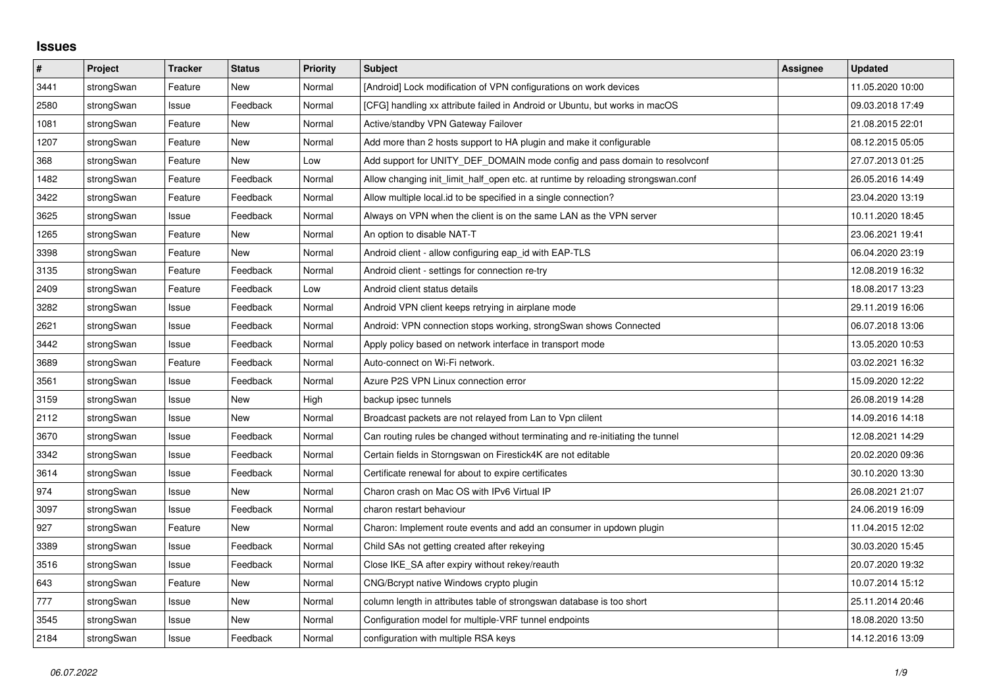## **Issues**

| #    | Project    | <b>Tracker</b> | <b>Status</b> | <b>Priority</b> | <b>Subject</b>                                                                   | <b>Assignee</b> | <b>Updated</b>   |
|------|------------|----------------|---------------|-----------------|----------------------------------------------------------------------------------|-----------------|------------------|
| 3441 | strongSwan | Feature        | <b>New</b>    | Normal          | [Android] Lock modification of VPN configurations on work devices                |                 | 11.05.2020 10:00 |
| 2580 | strongSwan | Issue          | Feedback      | Normal          | [CFG] handling xx attribute failed in Android or Ubuntu, but works in macOS      |                 | 09.03.2018 17:49 |
| 1081 | strongSwan | Feature        | New           | Normal          | Active/standby VPN Gateway Failover                                              |                 | 21.08.2015 22:01 |
| 1207 | strongSwan | Feature        | <b>New</b>    | Normal          | Add more than 2 hosts support to HA plugin and make it configurable              |                 | 08.12.2015 05:05 |
| 368  | strongSwan | Feature        | <b>New</b>    | Low             | Add support for UNITY DEF DOMAIN mode config and pass domain to resolveonf       |                 | 27.07.2013 01:25 |
| 1482 | strongSwan | Feature        | Feedback      | Normal          | Allow changing init_limit_half_open etc. at runtime by reloading strongswan.conf |                 | 26.05.2016 14:49 |
| 3422 | strongSwan | Feature        | Feedback      | Normal          | Allow multiple local id to be specified in a single connection?                  |                 | 23.04.2020 13:19 |
| 3625 | strongSwan | Issue          | Feedback      | Normal          | Always on VPN when the client is on the same LAN as the VPN server               |                 | 10.11.2020 18:45 |
| 1265 | strongSwan | Feature        | New           | Normal          | An option to disable NAT-T                                                       |                 | 23.06.2021 19:41 |
| 3398 | strongSwan | Feature        | <b>New</b>    | Normal          | Android client - allow configuring eap id with EAP-TLS                           |                 | 06.04.2020 23:19 |
| 3135 | strongSwan | Feature        | Feedback      | Normal          | Android client - settings for connection re-try                                  |                 | 12.08.2019 16:32 |
| 2409 | strongSwan | Feature        | Feedback      | Low             | Android client status details                                                    |                 | 18.08.2017 13:23 |
| 3282 | strongSwan | Issue          | Feedback      | Normal          | Android VPN client keeps retrying in airplane mode                               |                 | 29.11.2019 16:06 |
| 2621 | strongSwan | Issue          | Feedback      | Normal          | Android: VPN connection stops working, strongSwan shows Connected                |                 | 06.07.2018 13:06 |
| 3442 | strongSwan | Issue          | Feedback      | Normal          | Apply policy based on network interface in transport mode                        |                 | 13.05.2020 10:53 |
| 3689 | strongSwan | Feature        | Feedback      | Normal          | Auto-connect on Wi-Fi network.                                                   |                 | 03.02.2021 16:32 |
| 3561 | strongSwan | Issue          | Feedback      | Normal          | Azure P2S VPN Linux connection error                                             |                 | 15.09.2020 12:22 |
| 3159 | strongSwan | Issue          | New           | High            | backup ipsec tunnels                                                             |                 | 26.08.2019 14:28 |
| 2112 | strongSwan | Issue          | <b>New</b>    | Normal          | Broadcast packets are not relayed from Lan to Vpn clilent                        |                 | 14.09.2016 14:18 |
| 3670 | strongSwan | Issue          | Feedback      | Normal          | Can routing rules be changed without terminating and re-initiating the tunnel    |                 | 12.08.2021 14:29 |
| 3342 | strongSwan | Issue          | Feedback      | Normal          | Certain fields in Storngswan on Firestick4K are not editable                     |                 | 20.02.2020 09:36 |
| 3614 | strongSwan | Issue          | Feedback      | Normal          | Certificate renewal for about to expire certificates                             |                 | 30.10.2020 13:30 |
| 974  | strongSwan | Issue          | <b>New</b>    | Normal          | Charon crash on Mac OS with IPv6 Virtual IP                                      |                 | 26.08.2021 21:07 |
| 3097 | strongSwan | Issue          | Feedback      | Normal          | charon restart behaviour                                                         |                 | 24.06.2019 16:09 |
| 927  | strongSwan | Feature        | New           | Normal          | Charon: Implement route events and add an consumer in updown plugin              |                 | 11.04.2015 12:02 |
| 3389 | strongSwan | Issue          | Feedback      | Normal          | Child SAs not getting created after rekeying                                     |                 | 30.03.2020 15:45 |
| 3516 | strongSwan | Issue          | Feedback      | Normal          | Close IKE_SA after expiry without rekey/reauth                                   |                 | 20.07.2020 19:32 |
| 643  | strongSwan | Feature        | New           | Normal          | CNG/Bcrypt native Windows crypto plugin                                          |                 | 10.07.2014 15:12 |
| 777  | strongSwan | Issue          | <b>New</b>    | Normal          | column length in attributes table of strongswan database is too short            |                 | 25.11.2014 20:46 |
| 3545 | strongSwan | Issue          | <b>New</b>    | Normal          | Configuration model for multiple-VRF tunnel endpoints                            |                 | 18.08.2020 13:50 |
| 2184 | strongSwan | Issue          | Feedback      | Normal          | configuration with multiple RSA keys                                             |                 | 14.12.2016 13:09 |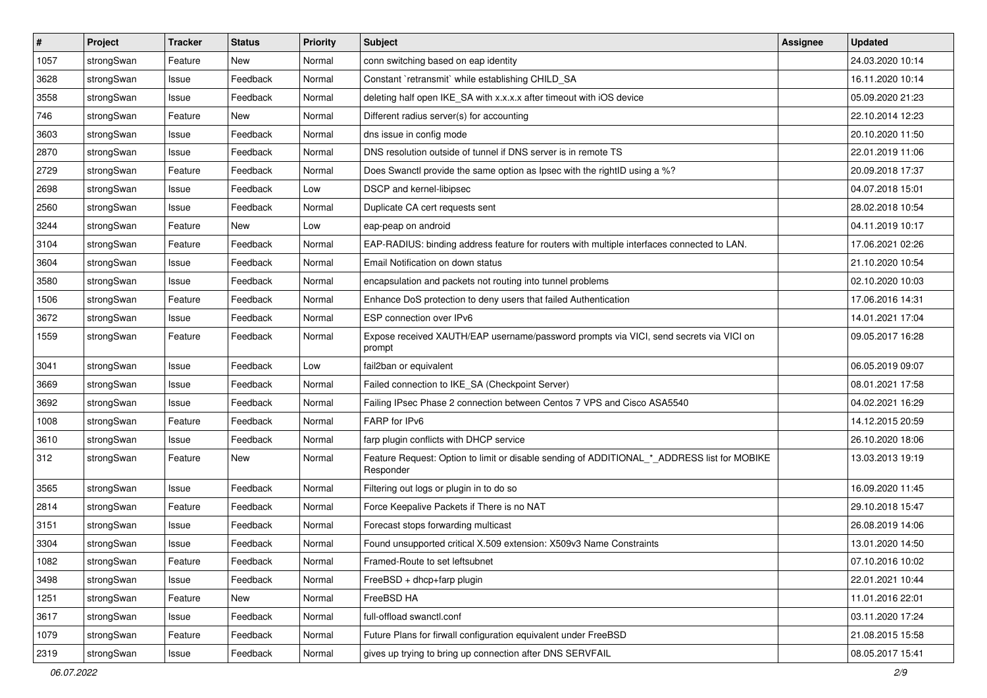| $\pmb{\#}$ | Project    | <b>Tracker</b> | <b>Status</b> | <b>Priority</b> | <b>Subject</b>                                                                                           | <b>Assignee</b> | <b>Updated</b>   |
|------------|------------|----------------|---------------|-----------------|----------------------------------------------------------------------------------------------------------|-----------------|------------------|
| 1057       | strongSwan | Feature        | New           | Normal          | conn switching based on eap identity                                                                     |                 | 24.03.2020 10:14 |
| 3628       | strongSwan | Issue          | Feedback      | Normal          | Constant `retransmit` while establishing CHILD_SA                                                        |                 | 16.11.2020 10:14 |
| 3558       | strongSwan | Issue          | Feedback      | Normal          | deleting half open IKE_SA with x.x.x.x after timeout with iOS device                                     |                 | 05.09.2020 21:23 |
| 746        | strongSwan | Feature        | New           | Normal          | Different radius server(s) for accounting                                                                |                 | 22.10.2014 12:23 |
| 3603       | strongSwan | Issue          | Feedback      | Normal          | dns issue in config mode                                                                                 |                 | 20.10.2020 11:50 |
| 2870       | strongSwan | Issue          | Feedback      | Normal          | DNS resolution outside of tunnel if DNS server is in remote TS                                           |                 | 22.01.2019 11:06 |
| 2729       | strongSwan | Feature        | Feedback      | Normal          | Does Swanctl provide the same option as Ipsec with the rightID using a %?                                |                 | 20.09.2018 17:37 |
| 2698       | strongSwan | Issue          | Feedback      | Low             | DSCP and kernel-libipsec                                                                                 |                 | 04.07.2018 15:01 |
| 2560       | strongSwan | Issue          | Feedback      | Normal          | Duplicate CA cert requests sent                                                                          |                 | 28.02.2018 10:54 |
| 3244       | strongSwan | Feature        | New           | Low             | eap-peap on android                                                                                      |                 | 04.11.2019 10:17 |
| 3104       | strongSwan | Feature        | Feedback      | Normal          | EAP-RADIUS: binding address feature for routers with multiple interfaces connected to LAN.               |                 | 17.06.2021 02:26 |
| 3604       | strongSwan | Issue          | Feedback      | Normal          | Email Notification on down status                                                                        |                 | 21.10.2020 10:54 |
| 3580       | strongSwan | Issue          | Feedback      | Normal          | encapsulation and packets not routing into tunnel problems                                               |                 | 02.10.2020 10:03 |
| 1506       | strongSwan | Feature        | Feedback      | Normal          | Enhance DoS protection to deny users that failed Authentication                                          |                 | 17.06.2016 14:31 |
| 3672       | strongSwan | Issue          | Feedback      | Normal          | ESP connection over IPv6                                                                                 |                 | 14.01.2021 17:04 |
| 1559       | strongSwan | Feature        | Feedback      | Normal          | Expose received XAUTH/EAP username/password prompts via VICI, send secrets via VICI on<br>prompt         |                 | 09.05.2017 16:28 |
| 3041       | strongSwan | Issue          | Feedback      | Low             | fail2ban or equivalent                                                                                   |                 | 06.05.2019 09:07 |
| 3669       | strongSwan | Issue          | Feedback      | Normal          | Failed connection to IKE_SA (Checkpoint Server)                                                          |                 | 08.01.2021 17:58 |
| 3692       | strongSwan | Issue          | Feedback      | Normal          | Failing IPsec Phase 2 connection between Centos 7 VPS and Cisco ASA5540                                  |                 | 04.02.2021 16:29 |
| 1008       | strongSwan | Feature        | Feedback      | Normal          | FARP for IPv6                                                                                            |                 | 14.12.2015 20:59 |
| 3610       | strongSwan | Issue          | Feedback      | Normal          | farp plugin conflicts with DHCP service                                                                  |                 | 26.10.2020 18:06 |
| 312        | strongSwan | Feature        | New           | Normal          | Feature Request: Option to limit or disable sending of ADDITIONAL_*_ADDRESS list for MOBIKE<br>Responder |                 | 13.03.2013 19:19 |
| 3565       | strongSwan | Issue          | Feedback      | Normal          | Filtering out logs or plugin in to do so                                                                 |                 | 16.09.2020 11:45 |
| 2814       | strongSwan | Feature        | Feedback      | Normal          | Force Keepalive Packets if There is no NAT                                                               |                 | 29.10.2018 15:47 |
| 3151       | strongSwan | Issue          | Feedback      | Normal          | Forecast stops forwarding multicast                                                                      |                 | 26.08.2019 14:06 |
| 3304       | strongSwan | Issue          | Feedback      | Normal          | Found unsupported critical X.509 extension: X509v3 Name Constraints                                      |                 | 13.01.2020 14:50 |
| 1082       | strongSwan | Feature        | Feedback      | Normal          | Framed-Route to set leftsubnet                                                                           |                 | 07.10.2016 10:02 |
| 3498       | strongSwan | Issue          | Feedback      | Normal          | FreeBSD + dhcp+farp plugin                                                                               |                 | 22.01.2021 10:44 |
| 1251       | strongSwan | Feature        | New           | Normal          | FreeBSD HA                                                                                               |                 | 11.01.2016 22:01 |
| 3617       | strongSwan | Issue          | Feedback      | Normal          | full-offload swanctl.conf                                                                                |                 | 03.11.2020 17:24 |
| 1079       | strongSwan | Feature        | Feedback      | Normal          | Future Plans for firwall configuration equivalent under FreeBSD                                          |                 | 21.08.2015 15:58 |
| 2319       | strongSwan | Issue          | Feedback      | Normal          | gives up trying to bring up connection after DNS SERVFAIL                                                |                 | 08.05.2017 15:41 |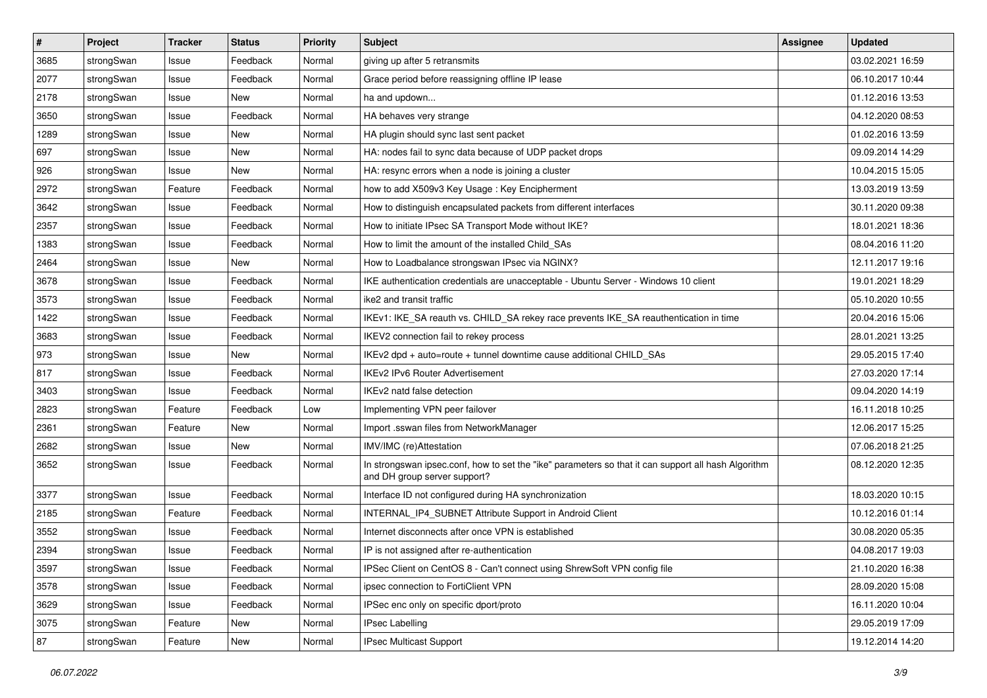| $\sharp$ | Project    | <b>Tracker</b> | <b>Status</b> | <b>Priority</b> | <b>Subject</b>                                                                                                                      | <b>Assignee</b> | <b>Updated</b>   |
|----------|------------|----------------|---------------|-----------------|-------------------------------------------------------------------------------------------------------------------------------------|-----------------|------------------|
| 3685     | strongSwan | Issue          | Feedback      | Normal          | giving up after 5 retransmits                                                                                                       |                 | 03.02.2021 16:59 |
| 2077     | strongSwan | Issue          | Feedback      | Normal          | Grace period before reassigning offline IP lease                                                                                    |                 | 06.10.2017 10:44 |
| 2178     | strongSwan | Issue          | <b>New</b>    | Normal          | ha and updown                                                                                                                       |                 | 01.12.2016 13:53 |
| 3650     | strongSwan | Issue          | Feedback      | Normal          | HA behaves very strange                                                                                                             |                 | 04.12.2020 08:53 |
| 1289     | strongSwan | Issue          | <b>New</b>    | Normal          | HA plugin should sync last sent packet                                                                                              |                 | 01.02.2016 13:59 |
| 697      | strongSwan | Issue          | New           | Normal          | HA: nodes fail to sync data because of UDP packet drops                                                                             |                 | 09.09.2014 14:29 |
| 926      | strongSwan | Issue          | <b>New</b>    | Normal          | HA: resync errors when a node is joining a cluster                                                                                  |                 | 10.04.2015 15:05 |
| 2972     | strongSwan | Feature        | Feedback      | Normal          | how to add X509v3 Key Usage: Key Encipherment                                                                                       |                 | 13.03.2019 13:59 |
| 3642     | strongSwan | Issue          | Feedback      | Normal          | How to distinguish encapsulated packets from different interfaces                                                                   |                 | 30.11.2020 09:38 |
| 2357     | strongSwan | Issue          | Feedback      | Normal          | How to initiate IPsec SA Transport Mode without IKE?                                                                                |                 | 18.01.2021 18:36 |
| 1383     | strongSwan | Issue          | Feedback      | Normal          | How to limit the amount of the installed Child_SAs                                                                                  |                 | 08.04.2016 11:20 |
| 2464     | strongSwan | Issue          | <b>New</b>    | Normal          | How to Loadbalance strongswan IPsec via NGINX?                                                                                      |                 | 12.11.2017 19:16 |
| 3678     | strongSwan | Issue          | Feedback      | Normal          | IKE authentication credentials are unacceptable - Ubuntu Server - Windows 10 client                                                 |                 | 19.01.2021 18:29 |
| 3573     | strongSwan | Issue          | Feedback      | Normal          | ike2 and transit traffic                                                                                                            |                 | 05.10.2020 10:55 |
| 1422     | strongSwan | Issue          | Feedback      | Normal          | IKEv1: IKE_SA reauth vs. CHILD_SA rekey race prevents IKE_SA reauthentication in time                                               |                 | 20.04.2016 15:06 |
| 3683     | strongSwan | Issue          | Feedback      | Normal          | IKEV2 connection fail to rekey process                                                                                              |                 | 28.01.2021 13:25 |
| 973      | strongSwan | Issue          | New           | Normal          | IKEv2 dpd + auto=route + tunnel downtime cause additional CHILD_SAs                                                                 |                 | 29.05.2015 17:40 |
| 817      | strongSwan | Issue          | Feedback      | Normal          | <b>IKEv2 IPv6 Router Advertisement</b>                                                                                              |                 | 27.03.2020 17:14 |
| 3403     | strongSwan | Issue          | Feedback      | Normal          | IKEv2 natd false detection                                                                                                          |                 | 09.04.2020 14:19 |
| 2823     | strongSwan | Feature        | Feedback      | Low             | Implementing VPN peer failover                                                                                                      |                 | 16.11.2018 10:25 |
| 2361     | strongSwan | Feature        | New           | Normal          | Import .sswan files from NetworkManager                                                                                             |                 | 12.06.2017 15:25 |
| 2682     | strongSwan | Issue          | New           | Normal          | IMV/IMC (re)Attestation                                                                                                             |                 | 07.06.2018 21:25 |
| 3652     | strongSwan | Issue          | Feedback      | Normal          | In strongswan ipsec.conf, how to set the "ike" parameters so that it can support all hash Algorithm<br>and DH group server support? |                 | 08.12.2020 12:35 |
| 3377     | strongSwan | Issue          | Feedback      | Normal          | Interface ID not configured during HA synchronization                                                                               |                 | 18.03.2020 10:15 |
| 2185     | strongSwan | Feature        | Feedback      | Normal          | INTERNAL IP4 SUBNET Attribute Support in Android Client                                                                             |                 | 10.12.2016 01:14 |
| 3552     | strongSwan | Issue          | Feedback      | Normal          | Internet disconnects after once VPN is established                                                                                  |                 | 30.08.2020 05:35 |
| 2394     | strongSwan | Issue          | Feedback      | Normal          | IP is not assigned after re-authentication                                                                                          |                 | 04.08.2017 19:03 |
| 3597     | strongSwan | Issue          | Feedback      | Normal          | IPSec Client on CentOS 8 - Can't connect using ShrewSoft VPN config file                                                            |                 | 21.10.2020 16:38 |
| 3578     | strongSwan | Issue          | Feedback      | Normal          | ipsec connection to FortiClient VPN                                                                                                 |                 | 28.09.2020 15:08 |
| 3629     | strongSwan | Issue          | Feedback      | Normal          | IPSec enc only on specific dport/proto                                                                                              |                 | 16.11.2020 10:04 |
| 3075     | strongSwan | Feature        | New           | Normal          | <b>IPsec Labelling</b>                                                                                                              |                 | 29.05.2019 17:09 |
| 87       | strongSwan | Feature        | New           | Normal          | IPsec Multicast Support                                                                                                             |                 | 19.12.2014 14:20 |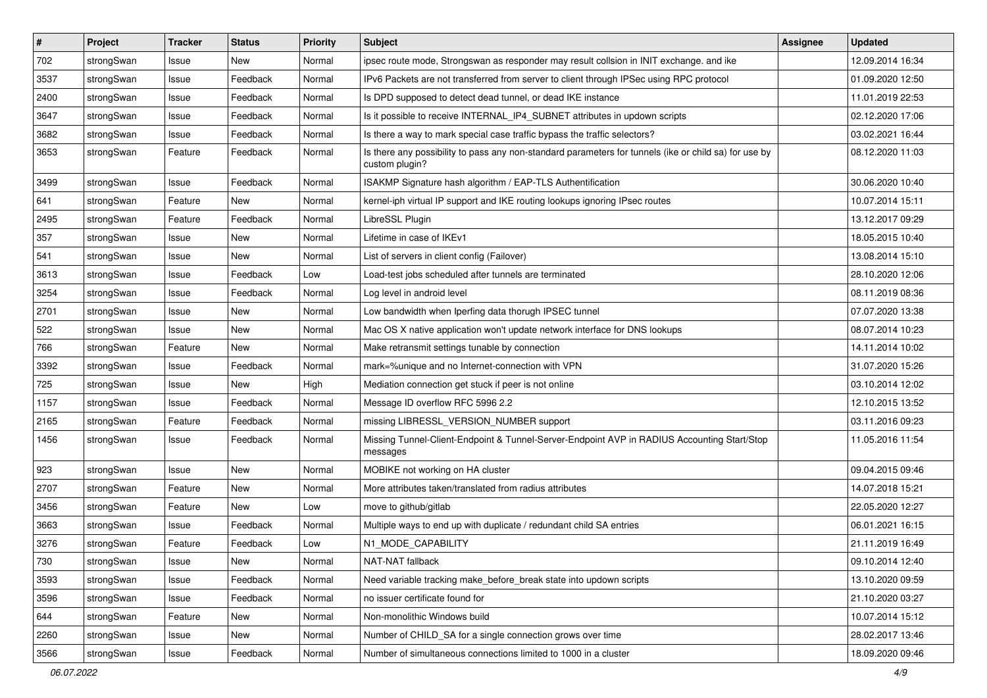| $\vert$ # | Project    | <b>Tracker</b> | <b>Status</b> | <b>Priority</b> | <b>Subject</b>                                                                                                          | <b>Assignee</b> | <b>Updated</b>   |
|-----------|------------|----------------|---------------|-----------------|-------------------------------------------------------------------------------------------------------------------------|-----------------|------------------|
| 702       | strongSwan | Issue          | New           | Normal          | ipsec route mode, Strongswan as responder may result collsion in INIT exchange. and ike                                 |                 | 12.09.2014 16:34 |
| 3537      | strongSwan | Issue          | Feedback      | Normal          | IPv6 Packets are not transferred from server to client through IPSec using RPC protocol                                 |                 | 01.09.2020 12:50 |
| 2400      | strongSwan | Issue          | Feedback      | Normal          | Is DPD supposed to detect dead tunnel, or dead IKE instance                                                             |                 | 11.01.2019 22:53 |
| 3647      | strongSwan | Issue          | Feedback      | Normal          | Is it possible to receive INTERNAL_IP4_SUBNET attributes in updown scripts                                              |                 | 02.12.2020 17:06 |
| 3682      | strongSwan | Issue          | Feedback      | Normal          | Is there a way to mark special case traffic bypass the traffic selectors?                                               |                 | 03.02.2021 16:44 |
| 3653      | strongSwan | Feature        | Feedback      | Normal          | Is there any possibility to pass any non-standard parameters for tunnels (ike or child sa) for use by<br>custom plugin? |                 | 08.12.2020 11:03 |
| 3499      | strongSwan | Issue          | Feedback      | Normal          | ISAKMP Signature hash algorithm / EAP-TLS Authentification                                                              |                 | 30.06.2020 10:40 |
| 641       | strongSwan | Feature        | New           | Normal          | kernel-iph virtual IP support and IKE routing lookups ignoring IPsec routes                                             |                 | 10.07.2014 15:11 |
| 2495      | strongSwan | Feature        | Feedback      | Normal          | LibreSSL Plugin                                                                                                         |                 | 13.12.2017 09:29 |
| 357       | strongSwan | Issue          | New           | Normal          | Lifetime in case of IKEv1                                                                                               |                 | 18.05.2015 10:40 |
| 541       | strongSwan | Issue          | <b>New</b>    | Normal          | List of servers in client config (Failover)                                                                             |                 | 13.08.2014 15:10 |
| 3613      | strongSwan | Issue          | Feedback      | Low             | Load-test jobs scheduled after tunnels are terminated                                                                   |                 | 28.10.2020 12:06 |
| 3254      | strongSwan | Issue          | Feedback      | Normal          | Log level in android level                                                                                              |                 | 08.11.2019 08:36 |
| 2701      | strongSwan | Issue          | New           | Normal          | Low bandwidth when Iperfing data thorugh IPSEC tunnel                                                                   |                 | 07.07.2020 13:38 |
| 522       | strongSwan | Issue          | <b>New</b>    | Normal          | Mac OS X native application won't update network interface for DNS lookups                                              |                 | 08.07.2014 10:23 |
| 766       | strongSwan | Feature        | New           | Normal          | Make retransmit settings tunable by connection                                                                          |                 | 14.11.2014 10:02 |
| 3392      | strongSwan | Issue          | Feedback      | Normal          | mark=%unique and no Internet-connection with VPN                                                                        |                 | 31.07.2020 15:26 |
| 725       | strongSwan | Issue          | New           | High            | Mediation connection get stuck if peer is not online                                                                    |                 | 03.10.2014 12:02 |
| 1157      | strongSwan | Issue          | Feedback      | Normal          | Message ID overflow RFC 5996 2.2                                                                                        |                 | 12.10.2015 13:52 |
| 2165      | strongSwan | Feature        | Feedback      | Normal          | missing LIBRESSL_VERSION_NUMBER support                                                                                 |                 | 03.11.2016 09:23 |
| 1456      | strongSwan | Issue          | Feedback      | Normal          | Missing Tunnel-Client-Endpoint & Tunnel-Server-Endpoint AVP in RADIUS Accounting Start/Stop<br>messages                 |                 | 11.05.2016 11:54 |
| 923       | strongSwan | Issue          | New           | Normal          | MOBIKE not working on HA cluster                                                                                        |                 | 09.04.2015 09:46 |
| 2707      | strongSwan | Feature        | <b>New</b>    | Normal          | More attributes taken/translated from radius attributes                                                                 |                 | 14.07.2018 15:21 |
| 3456      | strongSwan | Feature        | New           | Low             | move to github/gitlab                                                                                                   |                 | 22.05.2020 12:27 |
| 3663      | strongSwan | Issue          | Feedback      | Normal          | Multiple ways to end up with duplicate / redundant child SA entries                                                     |                 | 06.01.2021 16:15 |
| 3276      | strongSwan | Feature        | Feedback      | Low             | N1_MODE_CAPABILITY                                                                                                      |                 | 21.11.2019 16:49 |
| 730       | strongSwan | Issue          | New           | Normal          | NAT-NAT fallback                                                                                                        |                 | 09.10.2014 12:40 |
| 3593      | strongSwan | Issue          | Feedback      | Normal          | Need variable tracking make_before_break state into updown scripts                                                      |                 | 13.10.2020 09:59 |
| 3596      | strongSwan | Issue          | Feedback      | Normal          | no issuer certificate found for                                                                                         |                 | 21.10.2020 03:27 |
| 644       | strongSwan | Feature        | New           | Normal          | Non-monolithic Windows build                                                                                            |                 | 10.07.2014 15:12 |
| 2260      | strongSwan | Issue          | New           | Normal          | Number of CHILD_SA for a single connection grows over time                                                              |                 | 28.02.2017 13:46 |
| 3566      | strongSwan | Issue          | Feedback      | Normal          | Number of simultaneous connections limited to 1000 in a cluster                                                         |                 | 18.09.2020 09:46 |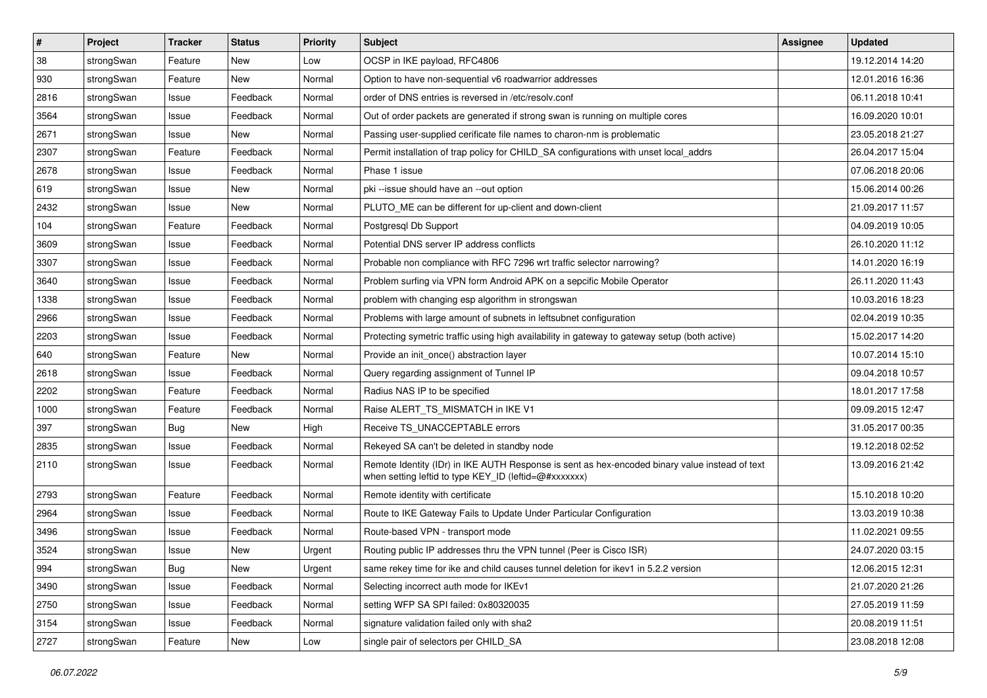| $\pmb{\#}$ | Project    | <b>Tracker</b> | <b>Status</b> | <b>Priority</b> | <b>Subject</b>                                                                                                                                          | <b>Assignee</b> | <b>Updated</b>   |
|------------|------------|----------------|---------------|-----------------|---------------------------------------------------------------------------------------------------------------------------------------------------------|-----------------|------------------|
| 38         | strongSwan | Feature        | New           | Low             | OCSP in IKE payload, RFC4806                                                                                                                            |                 | 19.12.2014 14:20 |
| 930        | strongSwan | Feature        | New           | Normal          | Option to have non-sequential v6 roadwarrior addresses                                                                                                  |                 | 12.01.2016 16:36 |
| 2816       | strongSwan | Issue          | Feedback      | Normal          | order of DNS entries is reversed in /etc/resolv.conf                                                                                                    |                 | 06.11.2018 10:41 |
| 3564       | strongSwan | Issue          | Feedback      | Normal          | Out of order packets are generated if strong swan is running on multiple cores                                                                          |                 | 16.09.2020 10:01 |
| 2671       | strongSwan | Issue          | New           | Normal          | Passing user-supplied cerificate file names to charon-nm is problematic                                                                                 |                 | 23.05.2018 21:27 |
| 2307       | strongSwan | Feature        | Feedback      | Normal          | Permit installation of trap policy for CHILD_SA configurations with unset local_addrs                                                                   |                 | 26.04.2017 15:04 |
| 2678       | strongSwan | Issue          | Feedback      | Normal          | Phase 1 issue                                                                                                                                           |                 | 07.06.2018 20:06 |
| 619        | strongSwan | Issue          | New           | Normal          | pki --issue should have an --out option                                                                                                                 |                 | 15.06.2014 00:26 |
| 2432       | strongSwan | lssue          | New           | Normal          | PLUTO_ME can be different for up-client and down-client                                                                                                 |                 | 21.09.2017 11:57 |
| 104        | strongSwan | Feature        | Feedback      | Normal          | Postgresql Db Support                                                                                                                                   |                 | 04.09.2019 10:05 |
| 3609       | strongSwan | Issue          | Feedback      | Normal          | Potential DNS server IP address conflicts                                                                                                               |                 | 26.10.2020 11:12 |
| 3307       | strongSwan | Issue          | Feedback      | Normal          | Probable non compliance with RFC 7296 wrt traffic selector narrowing?                                                                                   |                 | 14.01.2020 16:19 |
| 3640       | strongSwan | Issue          | Feedback      | Normal          | Problem surfing via VPN form Android APK on a sepcific Mobile Operator                                                                                  |                 | 26.11.2020 11:43 |
| 1338       | strongSwan | Issue          | Feedback      | Normal          | problem with changing esp algorithm in strongswan                                                                                                       |                 | 10.03.2016 18:23 |
| 2966       | strongSwan | Issue          | Feedback      | Normal          | Problems with large amount of subnets in leftsubnet configuration                                                                                       |                 | 02.04.2019 10:35 |
| 2203       | strongSwan | Issue          | Feedback      | Normal          | Protecting symetric traffic using high availability in gateway to gateway setup (both active)                                                           |                 | 15.02.2017 14:20 |
| 640        | strongSwan | Feature        | New           | Normal          | Provide an init_once() abstraction layer                                                                                                                |                 | 10.07.2014 15:10 |
| 2618       | strongSwan | Issue          | Feedback      | Normal          | Query regarding assignment of Tunnel IP                                                                                                                 |                 | 09.04.2018 10:57 |
| 2202       | strongSwan | Feature        | Feedback      | Normal          | Radius NAS IP to be specified                                                                                                                           |                 | 18.01.2017 17:58 |
| 1000       | strongSwan | Feature        | Feedback      | Normal          | Raise ALERT_TS_MISMATCH in IKE V1                                                                                                                       |                 | 09.09.2015 12:47 |
| 397        | strongSwan | Bug            | New           | High            | Receive TS_UNACCEPTABLE errors                                                                                                                          |                 | 31.05.2017 00:35 |
| 2835       | strongSwan | Issue          | Feedback      | Normal          | Rekeyed SA can't be deleted in standby node                                                                                                             |                 | 19.12.2018 02:52 |
| 2110       | strongSwan | Issue          | Feedback      | Normal          | Remote Identity (IDr) in IKE AUTH Response is sent as hex-encoded binary value instead of text<br>when setting leftid to type KEY_ID (leftid=@#xxxxxxx) |                 | 13.09.2016 21:42 |
| 2793       | strongSwan | Feature        | Feedback      | Normal          | Remote identity with certificate                                                                                                                        |                 | 15.10.2018 10:20 |
| 2964       | strongSwan | Issue          | Feedback      | Normal          | Route to IKE Gateway Fails to Update Under Particular Configuration                                                                                     |                 | 13.03.2019 10:38 |
| 3496       | strongSwan | Issue          | Feedback      | Normal          | Route-based VPN - transport mode                                                                                                                        |                 | 11.02.2021 09:55 |
| 3524       | strongSwan | Issue          | New           | Urgent          | Routing public IP addresses thru the VPN tunnel (Peer is Cisco ISR)                                                                                     |                 | 24.07.2020 03:15 |
| 994        | strongSwan | <b>Bug</b>     | New           | Urgent          | same rekey time for ike and child causes tunnel deletion for ikev1 in 5.2.2 version                                                                     |                 | 12.06.2015 12:31 |
| 3490       | strongSwan | Issue          | Feedback      | Normal          | Selecting incorrect auth mode for IKEv1                                                                                                                 |                 | 21.07.2020 21:26 |
| 2750       | strongSwan | Issue          | Feedback      | Normal          | setting WFP SA SPI failed: 0x80320035                                                                                                                   |                 | 27.05.2019 11:59 |
| 3154       | strongSwan | Issue          | Feedback      | Normal          | signature validation failed only with sha2                                                                                                              |                 | 20.08.2019 11:51 |
| 2727       | strongSwan | Feature        | New           | Low             | single pair of selectors per CHILD_SA                                                                                                                   |                 | 23.08.2018 12:08 |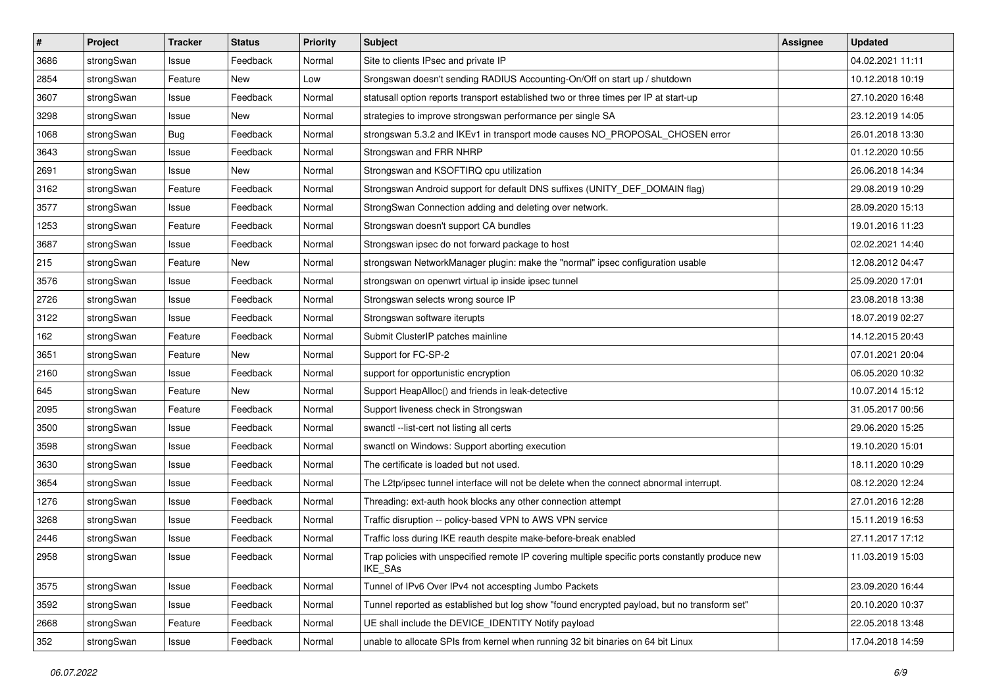| $\sharp$ | Project    | <b>Tracker</b> | <b>Status</b> | <b>Priority</b> | <b>Subject</b>                                                                                                     | <b>Assignee</b> | <b>Updated</b>   |
|----------|------------|----------------|---------------|-----------------|--------------------------------------------------------------------------------------------------------------------|-----------------|------------------|
| 3686     | strongSwan | Issue          | Feedback      | Normal          | Site to clients IPsec and private IP                                                                               |                 | 04.02.2021 11:11 |
| 2854     | strongSwan | Feature        | New           | Low             | Srongswan doesn't sending RADIUS Accounting-On/Off on start up / shutdown                                          |                 | 10.12.2018 10:19 |
| 3607     | strongSwan | Issue          | Feedback      | Normal          | statusall option reports transport established two or three times per IP at start-up                               |                 | 27.10.2020 16:48 |
| 3298     | strongSwan | Issue          | New           | Normal          | strategies to improve strongswan performance per single SA                                                         |                 | 23.12.2019 14:05 |
| 1068     | strongSwan | <b>Bug</b>     | Feedback      | Normal          | strongswan 5.3.2 and IKEv1 in transport mode causes NO_PROPOSAL_CHOSEN error                                       |                 | 26.01.2018 13:30 |
| 3643     | strongSwan | Issue          | Feedback      | Normal          | Strongswan and FRR NHRP                                                                                            |                 | 01.12.2020 10:55 |
| 2691     | strongSwan | Issue          | New           | Normal          | Strongswan and KSOFTIRQ cpu utilization                                                                            |                 | 26.06.2018 14:34 |
| 3162     | strongSwan | Feature        | Feedback      | Normal          | Strongswan Android support for default DNS suffixes (UNITY_DEF_DOMAIN flag)                                        |                 | 29.08.2019 10:29 |
| 3577     | strongSwan | Issue          | Feedback      | Normal          | StrongSwan Connection adding and deleting over network.                                                            |                 | 28.09.2020 15:13 |
| 1253     | strongSwan | Feature        | Feedback      | Normal          | Strongswan doesn't support CA bundles                                                                              |                 | 19.01.2016 11:23 |
| 3687     | strongSwan | Issue          | Feedback      | Normal          | Strongswan ipsec do not forward package to host                                                                    |                 | 02.02.2021 14:40 |
| 215      | strongSwan | Feature        | New           | Normal          | strongswan NetworkManager plugin: make the "normal" ipsec configuration usable                                     |                 | 12.08.2012 04:47 |
| 3576     | strongSwan | Issue          | Feedback      | Normal          | strongswan on openwrt virtual ip inside ipsec tunnel                                                               |                 | 25.09.2020 17:01 |
| 2726     | strongSwan | Issue          | Feedback      | Normal          | Strongswan selects wrong source IP                                                                                 |                 | 23.08.2018 13:38 |
| 3122     | strongSwan | Issue          | Feedback      | Normal          | Strongswan software iterupts                                                                                       |                 | 18.07.2019 02:27 |
| 162      | strongSwan | Feature        | Feedback      | Normal          | Submit ClusterIP patches mainline                                                                                  |                 | 14.12.2015 20:43 |
| 3651     | strongSwan | Feature        | New           | Normal          | Support for FC-SP-2                                                                                                |                 | 07.01.2021 20:04 |
| 2160     | strongSwan | Issue          | Feedback      | Normal          | support for opportunistic encryption                                                                               |                 | 06.05.2020 10:32 |
| 645      | strongSwan | Feature        | New           | Normal          | Support HeapAlloc() and friends in leak-detective                                                                  |                 | 10.07.2014 15:12 |
| 2095     | strongSwan | Feature        | Feedback      | Normal          | Support liveness check in Strongswan                                                                               |                 | 31.05.2017 00:56 |
| 3500     | strongSwan | Issue          | Feedback      | Normal          | swanctl --list-cert not listing all certs                                                                          |                 | 29.06.2020 15:25 |
| 3598     | strongSwan | Issue          | Feedback      | Normal          | swanctl on Windows: Support aborting execution                                                                     |                 | 19.10.2020 15:01 |
| 3630     | strongSwan | Issue          | Feedback      | Normal          | The certificate is loaded but not used.                                                                            |                 | 18.11.2020 10:29 |
| 3654     | strongSwan | Issue          | Feedback      | Normal          | The L2tp/ipsec tunnel interface will not be delete when the connect abnormal interrupt.                            |                 | 08.12.2020 12:24 |
| 1276     | strongSwan | Issue          | Feedback      | Normal          | Threading: ext-auth hook blocks any other connection attempt                                                       |                 | 27.01.2016 12:28 |
| 3268     | strongSwan | Issue          | Feedback      | Normal          | Traffic disruption -- policy-based VPN to AWS VPN service                                                          |                 | 15.11.2019 16:53 |
| 2446     | strongSwan | Issue          | Feedback      | Normal          | Traffic loss during IKE reauth despite make-before-break enabled                                                   |                 | 27.11.2017 17:12 |
| 2958     | strongSwan | Issue          | Feedback      | Normal          | Trap policies with unspecified remote IP covering multiple specific ports constantly produce new<br><b>IKE SAs</b> |                 | 11.03.2019 15:03 |
| 3575     | strongSwan | Issue          | Feedback      | Normal          | Tunnel of IPv6 Over IPv4 not accespting Jumbo Packets                                                              |                 | 23.09.2020 16:44 |
| 3592     | strongSwan | Issue          | Feedback      | Normal          | Tunnel reported as established but log show "found encrypted payload, but no transform set"                        |                 | 20.10.2020 10:37 |
| 2668     | strongSwan | Feature        | Feedback      | Normal          | UE shall include the DEVICE_IDENTITY Notify payload                                                                |                 | 22.05.2018 13:48 |
| 352      | strongSwan | Issue          | Feedback      | Normal          | unable to allocate SPIs from kernel when running 32 bit binaries on 64 bit Linux                                   |                 | 17.04.2018 14:59 |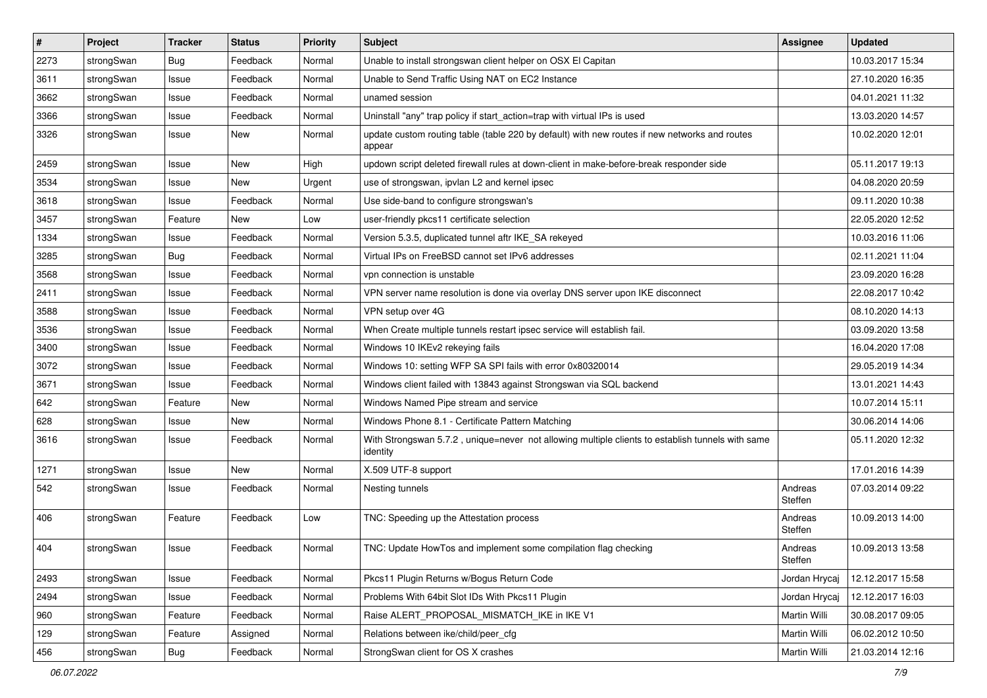| $\vert$ # | Project    | <b>Tracker</b> | <b>Status</b> | Priority | Subject                                                                                                      | <b>Assignee</b>    | <b>Updated</b>   |
|-----------|------------|----------------|---------------|----------|--------------------------------------------------------------------------------------------------------------|--------------------|------------------|
| 2273      | strongSwan | <b>Bug</b>     | Feedback      | Normal   | Unable to install strongswan client helper on OSX El Capitan                                                 |                    | 10.03.2017 15:34 |
| 3611      | strongSwan | Issue          | Feedback      | Normal   | Unable to Send Traffic Using NAT on EC2 Instance                                                             |                    | 27.10.2020 16:35 |
| 3662      | strongSwan | Issue          | Feedback      | Normal   | unamed session                                                                                               |                    | 04.01.2021 11:32 |
| 3366      | strongSwan | Issue          | Feedback      | Normal   | Uninstall "any" trap policy if start_action=trap with virtual IPs is used                                    |                    | 13.03.2020 14:57 |
| 3326      | strongSwan | Issue          | <b>New</b>    | Normal   | update custom routing table (table 220 by default) with new routes if new networks and routes<br>appear      |                    | 10.02.2020 12:01 |
| 2459      | strongSwan | Issue          | <b>New</b>    | High     | updown script deleted firewall rules at down-client in make-before-break responder side                      |                    | 05.11.2017 19:13 |
| 3534      | strongSwan | Issue          | <b>New</b>    | Urgent   | use of strongswan, ipvlan L2 and kernel ipsec                                                                |                    | 04.08.2020 20:59 |
| 3618      | strongSwan | Issue          | Feedback      | Normal   | Use side-band to configure strongswan's                                                                      |                    | 09.11.2020 10:38 |
| 3457      | strongSwan | Feature        | New           | Low      | user-friendly pkcs11 certificate selection                                                                   |                    | 22.05.2020 12:52 |
| 1334      | strongSwan | Issue          | Feedback      | Normal   | Version 5.3.5, duplicated tunnel aftr IKE_SA rekeyed                                                         |                    | 10.03.2016 11:06 |
| 3285      | strongSwan | <b>Bug</b>     | Feedback      | Normal   | Virtual IPs on FreeBSD cannot set IPv6 addresses                                                             |                    | 02.11.2021 11:04 |
| 3568      | strongSwan | Issue          | Feedback      | Normal   | vpn connection is unstable                                                                                   |                    | 23.09.2020 16:28 |
| 2411      | strongSwan | Issue          | Feedback      | Normal   | VPN server name resolution is done via overlay DNS server upon IKE disconnect                                |                    | 22.08.2017 10:42 |
| 3588      | strongSwan | Issue          | Feedback      | Normal   | VPN setup over 4G                                                                                            |                    | 08.10.2020 14:13 |
| 3536      | strongSwan | Issue          | Feedback      | Normal   | When Create multiple tunnels restart ipsec service will establish fail.                                      |                    | 03.09.2020 13:58 |
| 3400      | strongSwan | Issue          | Feedback      | Normal   | Windows 10 IKEv2 rekeying fails                                                                              |                    | 16.04.2020 17:08 |
| 3072      | strongSwan | Issue          | Feedback      | Normal   | Windows 10: setting WFP SA SPI fails with error 0x80320014                                                   |                    | 29.05.2019 14:34 |
| 3671      | strongSwan | Issue          | Feedback      | Normal   | Windows client failed with 13843 against Strongswan via SQL backend                                          |                    | 13.01.2021 14:43 |
| 642       | strongSwan | Feature        | New           | Normal   | Windows Named Pipe stream and service                                                                        |                    | 10.07.2014 15:11 |
| 628       | strongSwan | Issue          | New           | Normal   | Windows Phone 8.1 - Certificate Pattern Matching                                                             |                    | 30.06.2014 14:06 |
| 3616      | strongSwan | Issue          | Feedback      | Normal   | With Strongswan 5.7.2, unique=never not allowing multiple clients to establish tunnels with same<br>identity |                    | 05.11.2020 12:32 |
| 1271      | strongSwan | Issue          | <b>New</b>    | Normal   | X.509 UTF-8 support                                                                                          |                    | 17.01.2016 14:39 |
| 542       | strongSwan | Issue          | Feedback      | Normal   | Nesting tunnels                                                                                              | Andreas<br>Steffen | 07.03.2014 09:22 |
| 406       | strongSwan | Feature        | Feedback      | Low      | TNC: Speeding up the Attestation process                                                                     | Andreas<br>Steffen | 10.09.2013 14:00 |
| 404       | strongSwan | Issue          | Feedback      | Normal   | TNC: Update HowTos and implement some compilation flag checking                                              | Andreas<br>Steffen | 10.09.2013 13:58 |
| 2493      | strongSwan | Issue          | Feedback      | Normal   | Pkcs11 Plugin Returns w/Bogus Return Code                                                                    | Jordan Hrycaj      | 12.12.2017 15:58 |
| 2494      | strongSwan | Issue          | Feedback      | Normal   | Problems With 64bit Slot IDs With Pkcs11 Plugin                                                              | Jordan Hrycaj      | 12.12.2017 16:03 |
| 960       | strongSwan | Feature        | Feedback      | Normal   | Raise ALERT_PROPOSAL_MISMATCH_IKE in IKE V1                                                                  | Martin Willi       | 30.08.2017 09:05 |
| 129       | strongSwan | Feature        | Assigned      | Normal   | Relations between ike/child/peer cfg                                                                         | Martin Willi       | 06.02.2012 10:50 |
| 456       | strongSwan | <b>Bug</b>     | Feedback      | Normal   | StrongSwan client for OS X crashes                                                                           | Martin Willi       | 21.03.2014 12:16 |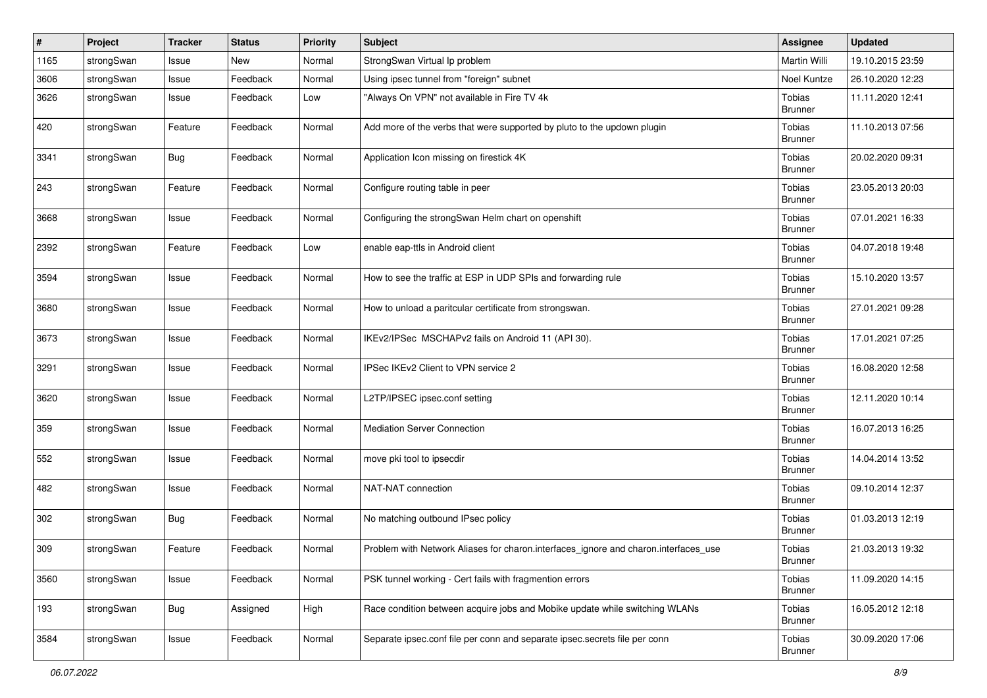| $\#$ | Project    | Tracker    | <b>Status</b> | <b>Priority</b> | Subject                                                                             | <b>Assignee</b>          | <b>Updated</b>   |
|------|------------|------------|---------------|-----------------|-------------------------------------------------------------------------------------|--------------------------|------------------|
| 1165 | strongSwan | Issue      | New           | Normal          | StrongSwan Virtual Ip problem                                                       | Martin Willi             | 19.10.2015 23:59 |
| 3606 | strongSwan | Issue      | Feedback      | Normal          | Using ipsec tunnel from "foreign" subnet                                            | Noel Kuntze              | 26.10.2020 12:23 |
| 3626 | strongSwan | Issue      | Feedback      | Low             | "Always On VPN" not available in Fire TV 4k                                         | Tobias<br><b>Brunner</b> | 11.11.2020 12:41 |
| 420  | strongSwan | Feature    | Feedback      | Normal          | Add more of the verbs that were supported by pluto to the updown plugin             | Tobias<br><b>Brunner</b> | 11.10.2013 07:56 |
| 3341 | strongSwan | <b>Bug</b> | Feedback      | Normal          | Application Icon missing on firestick 4K                                            | Tobias<br><b>Brunner</b> | 20.02.2020 09:31 |
| 243  | strongSwan | Feature    | Feedback      | Normal          | Configure routing table in peer                                                     | Tobias<br><b>Brunner</b> | 23.05.2013 20:03 |
| 3668 | strongSwan | Issue      | Feedback      | Normal          | Configuring the strongSwan Helm chart on openshift                                  | Tobias<br><b>Brunner</b> | 07.01.2021 16:33 |
| 2392 | strongSwan | Feature    | Feedback      | Low             | enable eap-ttls in Android client                                                   | Tobias<br><b>Brunner</b> | 04.07.2018 19:48 |
| 3594 | strongSwan | Issue      | Feedback      | Normal          | How to see the traffic at ESP in UDP SPIs and forwarding rule                       | Tobias<br><b>Brunner</b> | 15.10.2020 13:57 |
| 3680 | strongSwan | Issue      | Feedback      | Normal          | How to unload a paritcular certificate from strongswan.                             | Tobias<br><b>Brunner</b> | 27.01.2021 09:28 |
| 3673 | strongSwan | Issue      | Feedback      | Normal          | IKEv2/IPSec MSCHAPv2 fails on Android 11 (API 30).                                  | Tobias<br><b>Brunner</b> | 17.01.2021 07:25 |
| 3291 | strongSwan | Issue      | Feedback      | Normal          | IPSec IKEv2 Client to VPN service 2                                                 | Tobias<br>Brunner        | 16.08.2020 12:58 |
| 3620 | strongSwan | Issue      | Feedback      | Normal          | L2TP/IPSEC ipsec.conf setting                                                       | Tobias<br><b>Brunner</b> | 12.11.2020 10:14 |
| 359  | strongSwan | Issue      | Feedback      | Normal          | <b>Mediation Server Connection</b>                                                  | Tobias<br><b>Brunner</b> | 16.07.2013 16:25 |
| 552  | strongSwan | Issue      | Feedback      | Normal          | move pki tool to ipsecdir                                                           | Tobias<br><b>Brunner</b> | 14.04.2014 13:52 |
| 482  | strongSwan | Issue      | Feedback      | Normal          | NAT-NAT connection                                                                  | Tobias<br><b>Brunner</b> | 09.10.2014 12:37 |
| 302  | strongSwan | <b>Bug</b> | Feedback      | Normal          | No matching outbound IPsec policy                                                   | Tobias<br><b>Brunner</b> | 01.03.2013 12:19 |
| 309  | strongSwan | Feature    | Feedback      | Normal          | Problem with Network Aliases for charon.interfaces_ignore and charon.interfaces_use | Tobias<br><b>Brunner</b> | 21.03.2013 19:32 |
| 3560 | strongSwan | Issue      | Feedback      | Normal          | PSK tunnel working - Cert fails with fragmention errors                             | Tobias<br><b>Brunner</b> | 11.09.2020 14:15 |
| 193  | strongSwan | Bug        | Assigned      | High            | Race condition between acquire jobs and Mobike update while switching WLANs         | Tobias<br><b>Brunner</b> | 16.05.2012 12:18 |
| 3584 | strongSwan | Issue      | Feedback      | Normal          | Separate ipsec.conf file per conn and separate ipsec.secrets file per conn          | Tobias<br><b>Brunner</b> | 30.09.2020 17:06 |